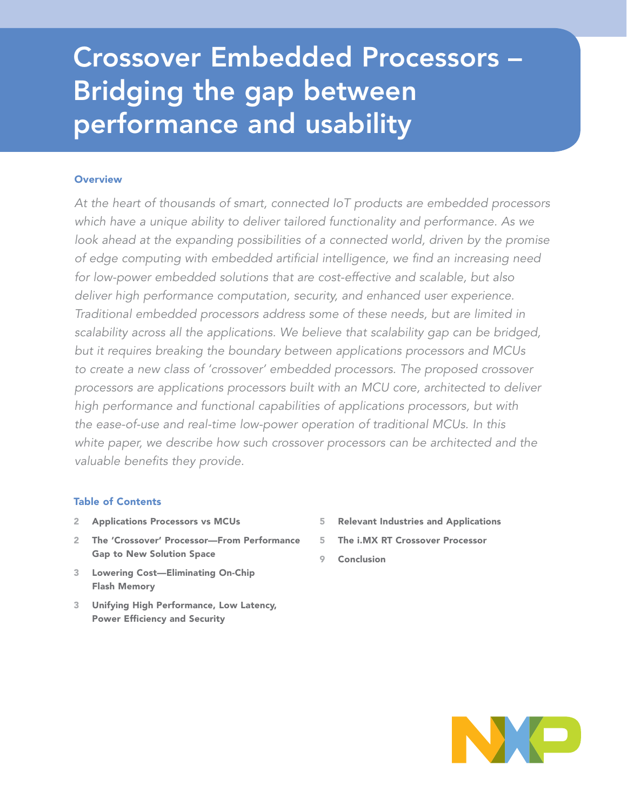# Crossover Embedded Processors – Bridging the gap between performance and usability

# **Overview**

*At the heart of thousands of smart, connected IoT products are embedded processors which have a unique ability to deliver tailored functionality and performance. As we*  look ahead at the expanding possibilities of a connected world, driven by the promise *of edge computing with embedded artificial intelligence, we find an increasing need for low-power embedded solutions that are cost-effective and scalable, but also deliver high performance computation, security, and enhanced user experience. Traditional embedded processors address some of these needs, but are limited in scalability across all the applications. We believe that scalability gap can be bridged, but it requires breaking the boundary between applications processors and MCUs to create a new class of 'crossover' embedded processors. The proposed crossover processors are applications processors built with an MCU core, architected to deliver high performance and functional capabilities of applications processors, but with the ease-of-use and real-time low-power operation of traditional MCUs. In this white paper, we describe how such crossover processors can be architected and the valuable benefits they provide.*

## Table of Contents

- 2 Applications Processors vs MCUs
- 2 The 'Crossover' Processor—From Performance Gap to New Solution Space
- 3 Lowering Cost—Eliminating On-Chip Flash Memory
- 3 Unifying High Performance, Low Latency, Power Efficiency and Security
- 5 Relevant Industries and Applications
- 5 The i.MX RT Crossover Processor
- 9 Conclusion

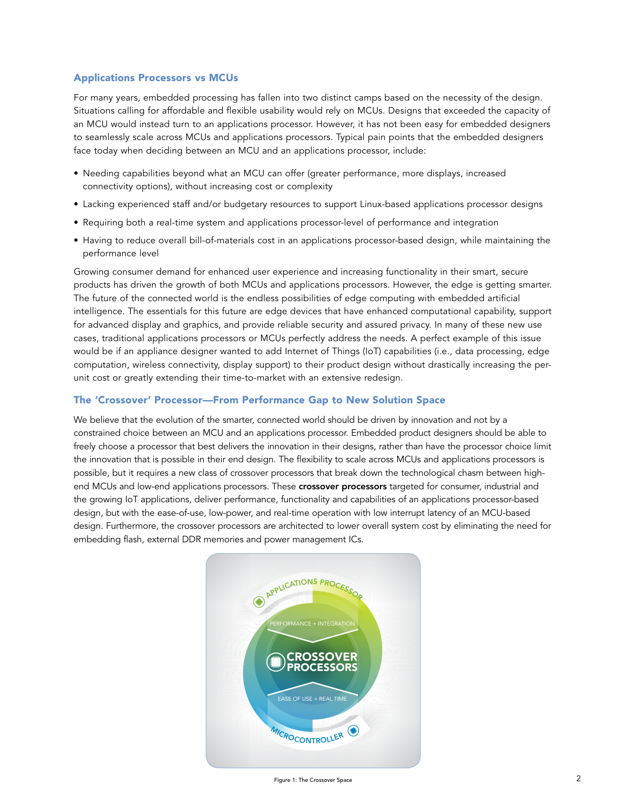#### Applications Processors vs MCUs

For many years, embedded processing has fallen into two distinct camps based on the necessity of the design. Situations calling for affordable and flexible usability would rely on MCUs. Designs that exceeded the capacity of an MCU would instead turn to an applications processor. However, it has not been easy for embedded designers to seamlessly scale across MCUs and applications processors. Typical pain points that the embedded designers face today when deciding between an MCU and an applications processor, include:

- Needing capabilities beyond what an MCU can offer (greater performance, more displays, increased connectivity options), without increasing cost or complexity
- Lacking experienced staff and/or budgetary resources to support Linux-based applications processor designs
- Requiring both a real-time system and applications processor-level of performance and integration
- Having to reduce overall bill-of-materials cost in an applications processor-based design, while maintaining the performance level

Growing consumer demand for enhanced user experience and increasing functionality in their smart, secure products has driven the growth of both MCUs and applications processors. However, the edge is getting smarter. The future of the connected world is the endless possibilities of edge computing with embedded artificial intelligence. The essentials for this future are edge devices that have enhanced computational capability, support for advanced display and graphics, and provide reliable security and assured privacy. In many of these new use cases, traditional applications processors or MCUs perfectly address the needs. A perfect example of this issue would be if an appliance designer wanted to add Internet of Things (IoT) capabilities (i.e., data processing, edge computation, wireless connectivity, display support) to their product design without drastically increasing the perunit cost or greatly extending their time-to-market with an extensive redesign.

#### The 'Crossover' Processor—From Performance Gap to New Solution Space

We believe that the evolution of the smarter, connected world should be driven by innovation and not by a constrained choice between an MCU and an applications processor. Embedded product designers should be able to freely choose a processor that best delivers the innovation in their designs, rather than have the processor choice limit the innovation that is possible in their end design. The flexibility to scale across MCUs and applications processors is possible, but it requires a new class of crossover processors that break down the technological chasm between highend MCUs and low-end applications processors. These **crossover processors** targeted for consumer, industrial and the growing IoT applications, deliver performance, functionality and capabilities of an applications processor-based design, but with the ease-of-use, low-power, and real-time operation with low interrupt latency of an MCU-based design. Furthermore, the crossover processors are architected to lower overall system cost by eliminating the need for embedding flash, external DDR memories and power management ICs.

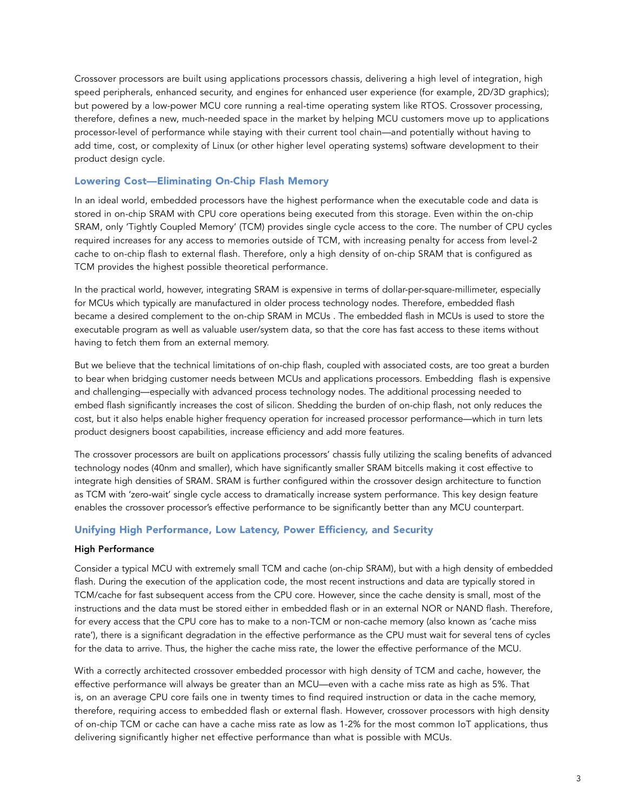Crossover processors are built using applications processors chassis, delivering a high level of integration, high speed peripherals, enhanced security, and engines for enhanced user experience (for example, 2D/3D graphics); but powered by a low-power MCU core running a real-time operating system like RTOS. Crossover processing, therefore, defines a new, much-needed space in the market by helping MCU customers move up to applications processor-level of performance while staying with their current tool chain—and potentially without having to add time, cost, or complexity of Linux (or other higher level operating systems) software development to their product design cycle.

## Lowering Cost—Eliminating On-Chip Flash Memory

In an ideal world, embedded processors have the highest performance when the executable code and data is stored in on-chip SRAM with CPU core operations being executed from this storage. Even within the on-chip SRAM, only 'Tightly Coupled Memory' (TCM) provides single cycle access to the core. The number of CPU cycles required increases for any access to memories outside of TCM, with increasing penalty for access from level-2 cache to on-chip flash to external flash. Therefore, only a high density of on-chip SRAM that is configured as TCM provides the highest possible theoretical performance.

In the practical world, however, integrating SRAM is expensive in terms of dollar-per-square-millimeter, especially for MCUs which typically are manufactured in older process technology nodes. Therefore, embedded flash became a desired complement to the on-chip SRAM in MCUs . The embedded flash in MCUs is used to store the executable program as well as valuable user/system data, so that the core has fast access to these items without having to fetch them from an external memory.

But we believe that the technical limitations of on-chip flash, coupled with associated costs, are too great a burden to bear when bridging customer needs between MCUs and applications processors. Embedding flash is expensive and challenging—especially with advanced process technology nodes. The additional processing needed to embed flash significantly increases the cost of silicon. Shedding the burden of on-chip flash, not only reduces the cost, but it also helps enable higher frequency operation for increased processor performance—which in turn lets product designers boost capabilities, increase efficiency and add more features.

The crossover processors are built on applications processors' chassis fully utilizing the scaling benefits of advanced technology nodes (40nm and smaller), which have significantly smaller SRAM bitcells making it cost effective to integrate high densities of SRAM. SRAM is further configured within the crossover design architecture to function as TCM with 'zero-wait' single cycle access to dramatically increase system performance. This key design feature enables the crossover processor's effective performance to be significantly better than any MCU counterpart.

#### Unifying High Performance, Low Latency, Power Efficiency, and Security

#### High Performance

Consider a typical MCU with extremely small TCM and cache (on-chip SRAM), but with a high density of embedded flash. During the execution of the application code, the most recent instructions and data are typically stored in TCM/cache for fast subsequent access from the CPU core. However, since the cache density is small, most of the instructions and the data must be stored either in embedded flash or in an external NOR or NAND flash. Therefore, for every access that the CPU core has to make to a non-TCM or non-cache memory (also known as 'cache miss rate'), there is a significant degradation in the effective performance as the CPU must wait for several tens of cycles for the data to arrive. Thus, the higher the cache miss rate, the lower the effective performance of the MCU.

With a correctly architected crossover embedded processor with high density of TCM and cache, however, the effective performance will always be greater than an MCU—even with a cache miss rate as high as 5%. That is, on an average CPU core fails one in twenty times to find required instruction or data in the cache memory, therefore, requiring access to embedded flash or external flash. However, crossover processors with high density of on-chip TCM or cache can have a cache miss rate as low as 1-2% for the most common IoT applications, thus delivering significantly higher net effective performance than what is possible with MCUs.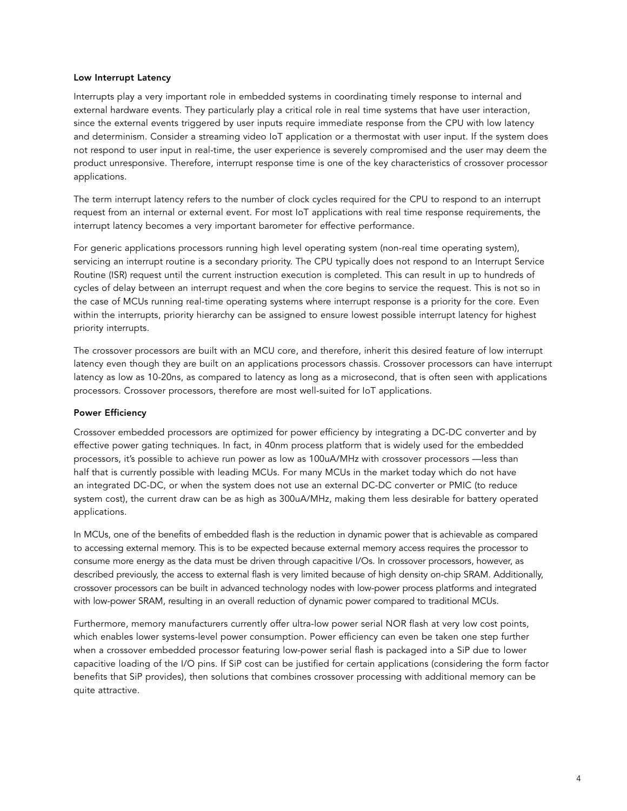#### Low Interrupt Latency

Interrupts play a very important role in embedded systems in coordinating timely response to internal and external hardware events. They particularly play a critical role in real time systems that have user interaction, since the external events triggered by user inputs require immediate response from the CPU with low latency and determinism. Consider a streaming video IoT application or a thermostat with user input. If the system does not respond to user input in real-time, the user experience is severely compromised and the user may deem the product unresponsive. Therefore, interrupt response time is one of the key characteristics of crossover processor applications.

The term interrupt latency refers to the number of clock cycles required for the CPU to respond to an interrupt request from an internal or external event. For most IoT applications with real time response requirements, the interrupt latency becomes a very important barometer for effective performance.

For generic applications processors running high level operating system (non-real time operating system), servicing an interrupt routine is a secondary priority. The CPU typically does not respond to an Interrupt Service Routine (ISR) request until the current instruction execution is completed. This can result in up to hundreds of cycles of delay between an interrupt request and when the core begins to service the request. This is not so in the case of MCUs running real-time operating systems where interrupt response is a priority for the core. Even within the interrupts, priority hierarchy can be assigned to ensure lowest possible interrupt latency for highest priority interrupts.

The crossover processors are built with an MCU core, and therefore, inherit this desired feature of low interrupt latency even though they are built on an applications processors chassis. Crossover processors can have interrupt latency as low as 10-20ns, as compared to latency as long as a microsecond, that is often seen with applications processors. Crossover processors, therefore are most well-suited for IoT applications.

#### Power Efficiency

Crossover embedded processors are optimized for power efficiency by integrating a DC-DC converter and by effective power gating techniques. In fact, in 40nm process platform that is widely used for the embedded processors, it's possible to achieve run power as low as 100uA/MHz with crossover processors —less than half that is currently possible with leading MCUs. For many MCUs in the market today which do not have an integrated DC-DC, or when the system does not use an external DC-DC converter or PMIC (to reduce system cost), the current draw can be as high as 300uA/MHz, making them less desirable for battery operated applications.

In MCUs, one of the benefits of embedded flash is the reduction in dynamic power that is achievable as compared to accessing external memory. This is to be expected because external memory access requires the processor to consume more energy as the data must be driven through capacitive I/Os. In crossover processors, however, as described previously, the access to external flash is very limited because of high density on-chip SRAM. Additionally, crossover processors can be built in advanced technology nodes with low-power process platforms and integrated with low-power SRAM, resulting in an overall reduction of dynamic power compared to traditional MCUs.

Furthermore, memory manufacturers currently offer ultra-low power serial NOR flash at very low cost points, which enables lower systems-level power consumption. Power efficiency can even be taken one step further when a crossover embedded processor featuring low-power serial flash is packaged into a SiP due to lower capacitive loading of the I/O pins. If SiP cost can be justified for certain applications (considering the form factor benefits that SiP provides), then solutions that combines crossover processing with additional memory can be quite attractive.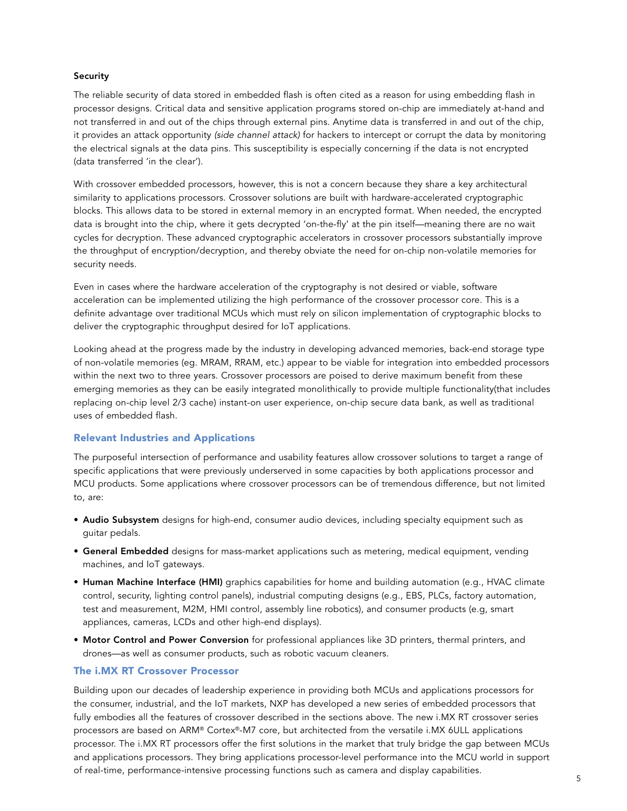#### Security

The reliable security of data stored in embedded flash is often cited as a reason for using embedding flash in processor designs. Critical data and sensitive application programs stored on-chip are immediately at-hand and not transferred in and out of the chips through external pins. Anytime data is transferred in and out of the chip, it provides an attack opportunity *(side channel attack)* for hackers to intercept or corrupt the data by monitoring the electrical signals at the data pins. This susceptibility is especially concerning if the data is not encrypted (data transferred 'in the clear').

With crossover embedded processors, however, this is not a concern because they share a key architectural similarity to applications processors. Crossover solutions are built with hardware-accelerated cryptographic blocks. This allows data to be stored in external memory in an encrypted format. When needed, the encrypted data is brought into the chip, where it gets decrypted 'on-the-fly' at the pin itself—meaning there are no wait cycles for decryption. These advanced cryptographic accelerators in crossover processors substantially improve the throughput of encryption/decryption, and thereby obviate the need for on-chip non-volatile memories for security needs.

Even in cases where the hardware acceleration of the cryptography is not desired or viable, software acceleration can be implemented utilizing the high performance of the crossover processor core. This is a definite advantage over traditional MCUs which must rely on silicon implementation of cryptographic blocks to deliver the cryptographic throughput desired for IoT applications.

Looking ahead at the progress made by the industry in developing advanced memories, back-end storage type of non-volatile memories (eg. MRAM, RRAM, etc.) appear to be viable for integration into embedded processors within the next two to three years. Crossover processors are poised to derive maximum benefit from these emerging memories as they can be easily integrated monolithically to provide multiple functionality(that includes replacing on-chip level 2/3 cache) instant-on user experience, on-chip secure data bank, as well as traditional uses of embedded flash.

#### Relevant Industries and Applications

The purposeful intersection of performance and usability features allow crossover solutions to target a range of specific applications that were previously underserved in some capacities by both applications processor and MCU products. Some applications where crossover processors can be of tremendous difference, but not limited to, are:

- Audio Subsystem designs for high-end, consumer audio devices, including specialty equipment such as guitar pedals.
- **General Embedded** designs for mass-market applications such as metering, medical equipment, vending machines, and IoT gateways.
- Human Machine Interface (HMI) graphics capabilities for home and building automation (e.g., HVAC climate control, security, lighting control panels), industrial computing designs (e.g., EBS, PLCs, factory automation, test and measurement, M2M, HMI control, assembly line robotics), and consumer products (e.g, smart appliances, cameras, LCDs and other high-end displays).
- Motor Control and Power Conversion for professional appliances like 3D printers, thermal printers, and drones—as well as consumer products, such as robotic vacuum cleaners.

#### The i.MX RT Crossover Processor

Building upon our decades of leadership experience in providing both MCUs and applications processors for the consumer, industrial, and the IoT markets, NXP has developed a new series of embedded processors that fully embodies all the features of crossover described in the sections above. The new i.MX RT crossover series processors are based on ARM® Cortex®-M7 core, but architected from the versatile i.MX 6ULL applications processor. The i.MX RT processors offer the first solutions in the market that truly bridge the gap between MCUs and applications processors. They bring applications processor-level performance into the MCU world in support of real-time, performance-intensive processing functions such as camera and display capabilities.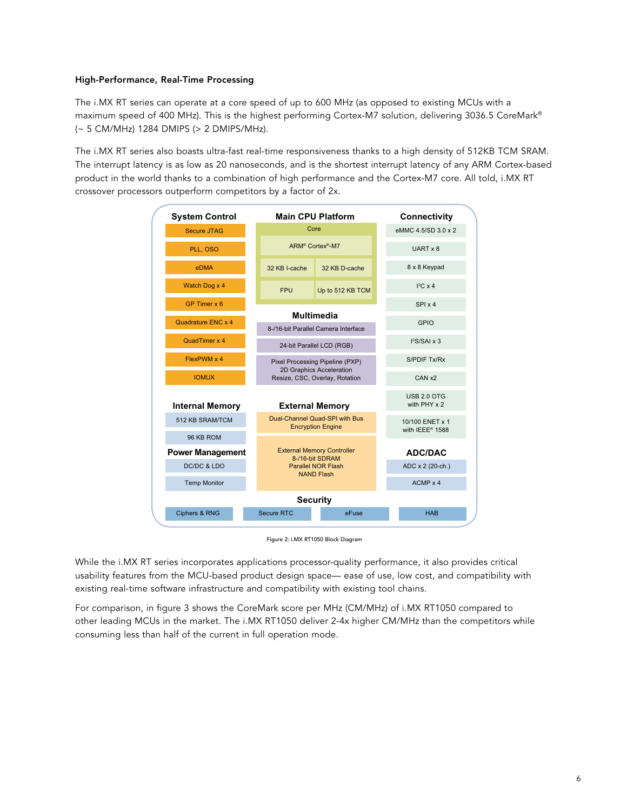#### High-Performance, Real-Time Processing

The i.MX RT series can operate at a core speed of up to 600 MHz (as opposed to existing MCUs with a maximum speed of 400 MHz). This is the highest performing Cortex-M7 solution, delivering 3036.5 CoreMark® (~ 5 CM/MHz) 1284 DMIPS (> 2 DMIPS/MHz).

The i.MX RT series also boasts ultra-fast real-time responsiveness thanks to a high density of 512KB TCM SRAM. The interrupt latency is as low as 20 nanoseconds, and is the shortest interrupt latency of any ARM Cortex-based product in the world thanks to a combination of high performance and the Cortex-M7 core. All told, i.MX RT .<br>crossover processors outperform competitors by a factor of 2x.



Figure 2: i.MX RT1050 Block Diagram

While the i.MX RT series incorporates applications processor-quality performance, it also provides critical usability features from the MCU-based product design space— ease of use, low cost, and compatibility with existing real-time software infrastructure and compatibility with existing tool chains.

For comparison, in figure 3 shows the CoreMark score per MHz (CM/MHz) of i.MX RT1050 compared to other leading MCUs in the market. The i.MX RT1050 deliver 2-4x higher CM/MHz than the competitors while consuming less than half of the current in full operation mode.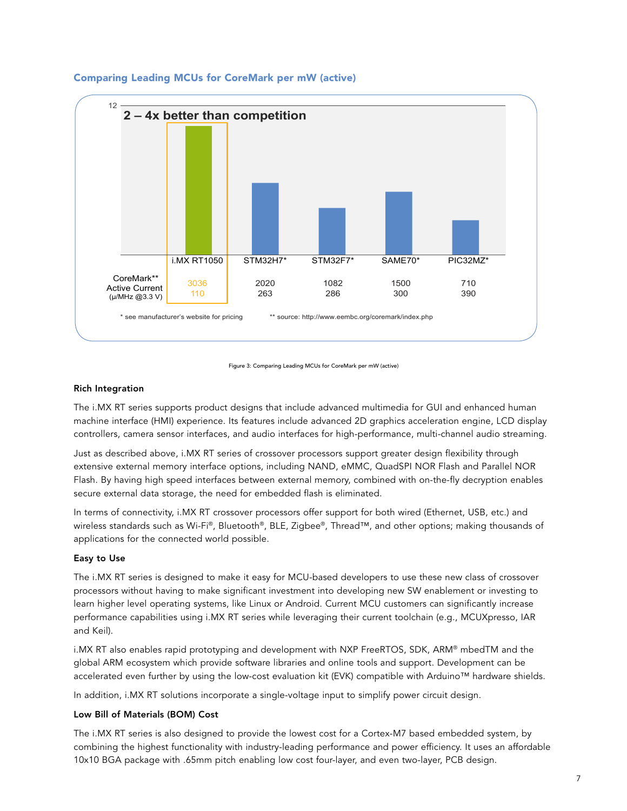

# Comparing Leading MCUs for CoreMark per mW (active)



#### Rich Integration

The i.MX RT series supports product designs that include advanced multimedia for GUI and enhanced human machine interface (HMI) experience. Its features include advanced 2D graphics acceleration engine, LCD display controllers, camera sensor interfaces, and audio interfaces for high-performance, multi-channel audio streaming.

Just as described above, i.MX RT series of crossover processors support greater design flexibility through extensive external memory interface options, including NAND, eMMC, QuadSPI NOR Flash and Parallel NOR Flash. By having high speed interfaces between external memory, combined with on-the-fly decryption enables secure external data storage, the need for embedded flash is eliminated.

In terms of connectivity, i.MX RT crossover processors offer support for both wired (Ethernet, USB, etc.) and wireless standards such as Wi-Fi®, Bluetooth®, BLE, Zigbee®, Thread™, and other options; making thousands of applications for the connected world possible.

#### Easy to Use

The i.MX RT series is designed to make it easy for MCU-based developers to use these new class of crossover processors without having to make significant investment into developing new SW enablement or investing to learn higher level operating systems, like Linux or Android. Current MCU customers can significantly increase performance capabilities using i.MX RT series while leveraging their current toolchain (e.g., MCUXpresso, IAR and Keil).

i.MX RT also enables rapid prototyping and development with NXP FreeRTOS, SDK, ARM® mbedTM and the global ARM ecosystem which provide software libraries and online tools and support. Development can be accelerated even further by using the low-cost evaluation kit (EVK) compatible with Arduino™ hardware shields.

In addition, i.MX RT solutions incorporate a single-voltage input to simplify power circuit design.

### Low Bill of Materials (BOM) Cost

The i.MX RT series is also designed to provide the lowest cost for a Cortex-M7 based embedded system, by combining the highest functionality with industry-leading performance and power efficiency. It uses an affordable 10x10 BGA package with .65mm pitch enabling low cost four-layer, and even two-layer, PCB design.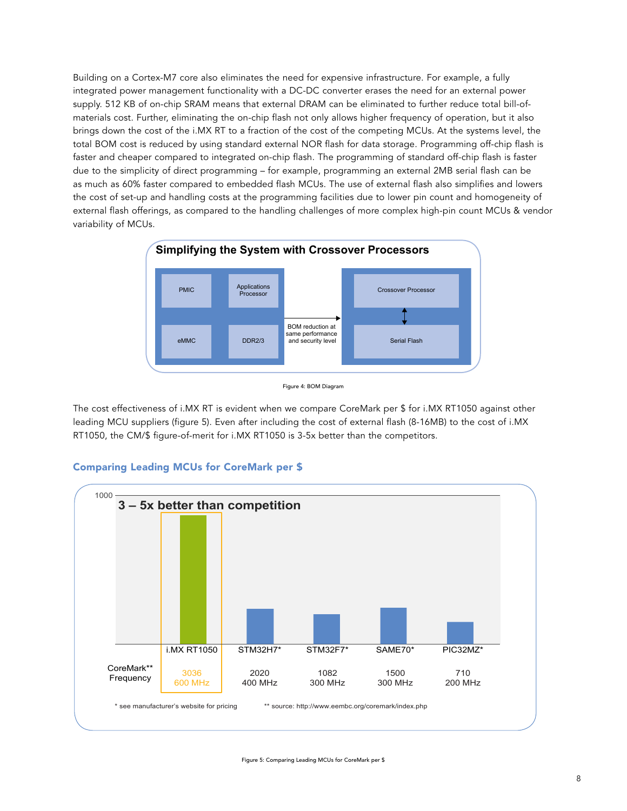Building on a Cortex-M7 core also eliminates the need for expensive infrastructure. For example, a fully integrated power management functionality with a DC-DC converter erases the need for an external power supply. 512 KB of on-chip SRAM means that external DRAM can be eliminated to further reduce total bill-ofmaterials cost. Further, eliminating the on-chip flash not only allows higher frequency of operation, but it also brings down the cost of the i.MX RT to a fraction of the cost of the competing MCUs. At the systems level, the total BOM cost is reduced by using standard external NOR flash for data storage. Programming off-chip flash is faster and cheaper compared to integrated on-chip flash. The programming of standard off-chip flash is faster due to the simplicity of direct programming – for example, programming an external 2MB serial flash can be as much as 60% faster compared to embedded flash MCUs. The use of external flash also simplifies and lowers the cost of set-up and handling costs at the programming facilities due to lower pin count and homogeneity of external flash offerings, as compared to the handling challenges of more complex high-pin count MCUs & vendor variability of MCUs.



Figure 4: BOM Diagram

The cost effectiveness of i.MX RT is evident when we compare CoreMark per \$ for i.MX RT1050 against other leading MCU suppliers (figure 5). Even after including the cost of external flash (8-16MB) to the cost of i.MX RT1050, the CM/\$ figure-of-merit for i.MX RT1050 is 3-5x better than the competitors.



# Comparing Leading MCUs for CoreMark per \$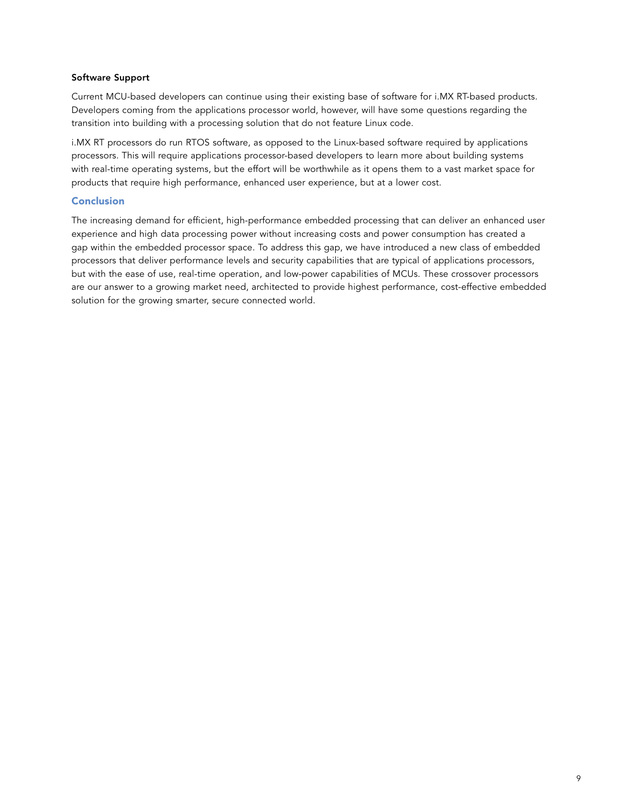#### Software Support

Current MCU-based developers can continue using their existing base of software for i.MX RT-based products. Developers coming from the applications processor world, however, will have some questions regarding the transition into building with a processing solution that do not feature Linux code.

i.MX RT processors do run RTOS software, as opposed to the Linux-based software required by applications processors. This will require applications processor-based developers to learn more about building systems with real-time operating systems, but the effort will be worthwhile as it opens them to a vast market space for products that require high performance, enhanced user experience, but at a lower cost.

#### Conclusion

The increasing demand for efficient, high-performance embedded processing that can deliver an enhanced user experience and high data processing power without increasing costs and power consumption has created a gap within the embedded processor space. To address this gap, we have introduced a new class of embedded processors that deliver performance levels and security capabilities that are typical of applications processors, but with the ease of use, real-time operation, and low-power capabilities of MCUs. These crossover processors are our answer to a growing market need, architected to provide highest performance, cost-effective embedded solution for the growing smarter, secure connected world.